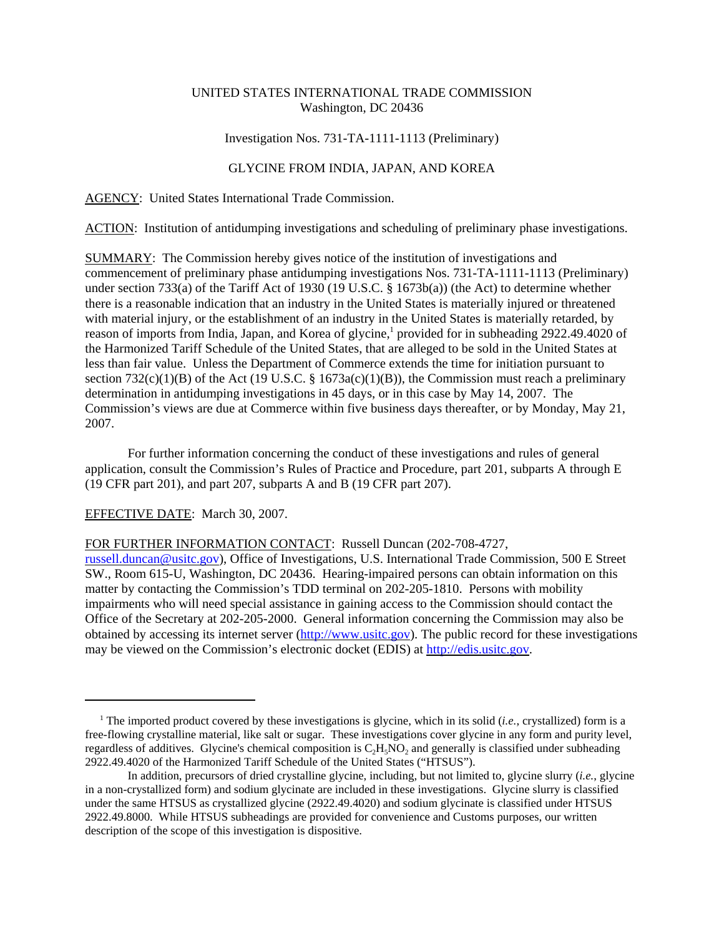# UNITED STATES INTERNATIONAL TRADE COMMISSION Washington, DC 20436

## Investigation Nos. 731-TA-1111-1113 (Preliminary)

## GLYCINE FROM INDIA, JAPAN, AND KOREA

AGENCY: United States International Trade Commission.

ACTION: Institution of antidumping investigations and scheduling of preliminary phase investigations.

SUMMARY: The Commission hereby gives notice of the institution of investigations and commencement of preliminary phase antidumping investigations Nos. 731-TA-1111-1113 (Preliminary) under section 733(a) of the Tariff Act of 1930 (19 U.S.C. § 1673b(a)) (the Act) to determine whether there is a reasonable indication that an industry in the United States is materially injured or threatened with material injury, or the establishment of an industry in the United States is materially retarded, by reason of imports from India, Japan, and Korea of glycine,<sup>1</sup> provided for in subheading 2922.49.4020 of the Harmonized Tariff Schedule of the United States, that are alleged to be sold in the United States at less than fair value. Unless the Department of Commerce extends the time for initiation pursuant to section 732(c)(1)(B) of the Act (19 U.S.C. § 1673a(c)(1)(B)), the Commission must reach a preliminary determination in antidumping investigations in 45 days, or in this case by May 14, 2007. The Commission's views are due at Commerce within five business days thereafter, or by Monday, May 21, 2007.

For further information concerning the conduct of these investigations and rules of general application, consult the Commission's Rules of Practice and Procedure, part 201, subparts A through E (19 CFR part 201), and part 207, subparts A and B (19 CFR part 207).

# EFFECTIVE DATE: March 30, 2007.

#### FOR FURTHER INFORMATION CONTACT: Russell Duncan (202-708-4727,

russell.duncan@usitc.gov), Office of Investigations, U.S. International Trade Commission, 500 E Street SW., Room 615-U, Washington, DC 20436. Hearing-impaired persons can obtain information on this matter by contacting the Commission's TDD terminal on 202-205-1810. Persons with mobility impairments who will need special assistance in gaining access to the Commission should contact the Office of the Secretary at 202-205-2000. General information concerning the Commission may also be obtained by accessing its internet server (http://www.usitc.gov). The public record for these investigations may be viewed on the Commission's electronic docket (EDIS) at http://edis.usitc.gov.

<sup>&</sup>lt;sup>1</sup> The imported product covered by these investigations is glycine, which in its solid (*i.e.*, crystallized) form is a free-flowing crystalline material, like salt or sugar. These investigations cover glycine in any form and purity level, regardless of additives. Glycine's chemical composition is  $C_2H<sub>5</sub>NO<sub>2</sub>$  and generally is classified under subheading 2922.49.4020 of the Harmonized Tariff Schedule of the United States ("HTSUS").

In addition, precursors of dried crystalline glycine, including, but not limited to, glycine slurry (*i.e.*, glycine in a non-crystallized form) and sodium glycinate are included in these investigations. Glycine slurry is classified under the same HTSUS as crystallized glycine (2922.49.4020) and sodium glycinate is classified under HTSUS 2922.49.8000. While HTSUS subheadings are provided for convenience and Customs purposes, our written description of the scope of this investigation is dispositive.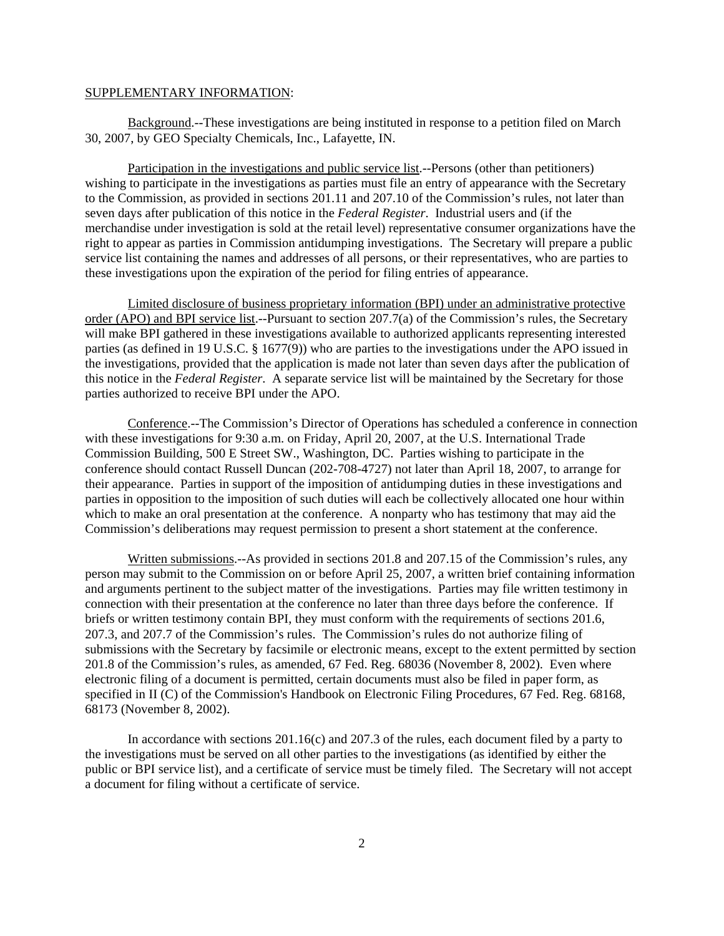#### SUPPLEMENTARY INFORMATION:

Background.--These investigations are being instituted in response to a petition filed on March 30, 2007, by GEO Specialty Chemicals, Inc., Lafayette, IN.

Participation in the investigations and public service list.--Persons (other than petitioners) wishing to participate in the investigations as parties must file an entry of appearance with the Secretary to the Commission, as provided in sections 201.11 and 207.10 of the Commission's rules, not later than seven days after publication of this notice in the *Federal Register*. Industrial users and (if the merchandise under investigation is sold at the retail level) representative consumer organizations have the right to appear as parties in Commission antidumping investigations. The Secretary will prepare a public service list containing the names and addresses of all persons, or their representatives, who are parties to these investigations upon the expiration of the period for filing entries of appearance.

Limited disclosure of business proprietary information (BPI) under an administrative protective order (APO) and BPI service list.--Pursuant to section 207.7(a) of the Commission's rules, the Secretary will make BPI gathered in these investigations available to authorized applicants representing interested parties (as defined in 19 U.S.C. § 1677(9)) who are parties to the investigations under the APO issued in the investigations, provided that the application is made not later than seven days after the publication of this notice in the *Federal Register*. A separate service list will be maintained by the Secretary for those parties authorized to receive BPI under the APO.

Conference.--The Commission's Director of Operations has scheduled a conference in connection with these investigations for 9:30 a.m. on Friday, April 20, 2007, at the U.S. International Trade Commission Building, 500 E Street SW., Washington, DC. Parties wishing to participate in the conference should contact Russell Duncan (202-708-4727) not later than April 18, 2007, to arrange for their appearance. Parties in support of the imposition of antidumping duties in these investigations and parties in opposition to the imposition of such duties will each be collectively allocated one hour within which to make an oral presentation at the conference. A nonparty who has testimony that may aid the Commission's deliberations may request permission to present a short statement at the conference.

Written submissions.--As provided in sections 201.8 and 207.15 of the Commission's rules, any person may submit to the Commission on or before April 25, 2007, a written brief containing information and arguments pertinent to the subject matter of the investigations. Parties may file written testimony in connection with their presentation at the conference no later than three days before the conference. If briefs or written testimony contain BPI, they must conform with the requirements of sections 201.6, 207.3, and 207.7 of the Commission's rules. The Commission's rules do not authorize filing of submissions with the Secretary by facsimile or electronic means, except to the extent permitted by section 201.8 of the Commission's rules, as amended, 67 Fed. Reg. 68036 (November 8, 2002). Even where electronic filing of a document is permitted, certain documents must also be filed in paper form, as specified in II (C) of the Commission's Handbook on Electronic Filing Procedures, 67 Fed. Reg. 68168, 68173 (November 8, 2002).

In accordance with sections 201.16(c) and 207.3 of the rules, each document filed by a party to the investigations must be served on all other parties to the investigations (as identified by either the public or BPI service list), and a certificate of service must be timely filed. The Secretary will not accept a document for filing without a certificate of service.